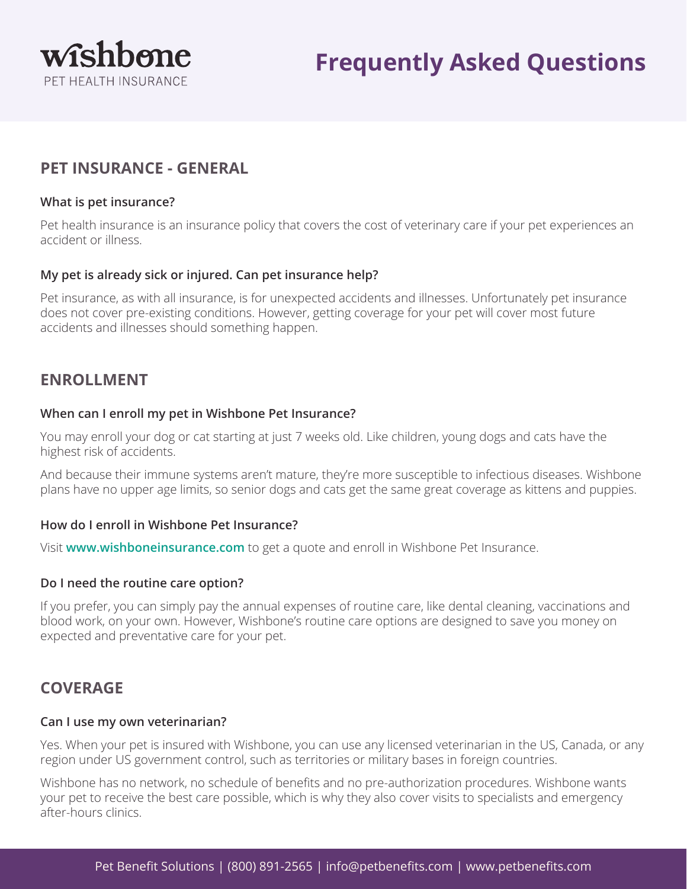

# **Frequently Asked Questions**

## **PET INSURANCE - GENERAL**

### **What is pet insurance?**

Pet health insurance is an insurance policy that covers the cost of veterinary care if your pet experiences an accident or illness.

### **My pet is already sick or injured. Can pet insurance help?**

Pet insurance, as with all insurance, is for unexpected accidents and illnesses. Unfortunately pet insurance does not cover pre-existing conditions. However, getting coverage for your pet will cover most future accidents and illnesses should something happen.

### **ENROLLMENT**

### **When can I enroll my pet in Wishbone Pet Insurance?**

You may enroll your dog or cat starting at just 7 weeks old. Like children, young dogs and cats have the highest risk of accidents.

And because their immune systems aren't mature, they're more susceptible to infectious diseases. Wishbone plans have no upper age limits, so senior dogs and cats get the same great coverage as kittens and puppies.

### **How do I enroll in Wishbone Pet Insurance?**

Visit **[www.wishboneinsurance.com](http://www.wishboneinsurance.com)** to get a quote and enroll in Wishbone Pet Insurance.

### **Do I need the routine care option?**

If you prefer, you can simply pay the annual expenses of routine care, like dental cleaning, vaccinations and blood work, on your own. However, Wishbone's routine care options are designed to save you money on expected and preventative care for your pet.

### **COVERAGE**

#### **Can I use my own veterinarian?**

Yes. When your pet is insured with Wishbone, you can use any licensed veterinarian in the US, Canada, or any region under US government control, such as territories or military bases in foreign countries.

Wishbone has no network, no schedule of benefits and no pre-authorization procedures. Wishbone wants your pet to receive the best care possible, which is why they also cover visits to specialists and emergency after-hours clinics.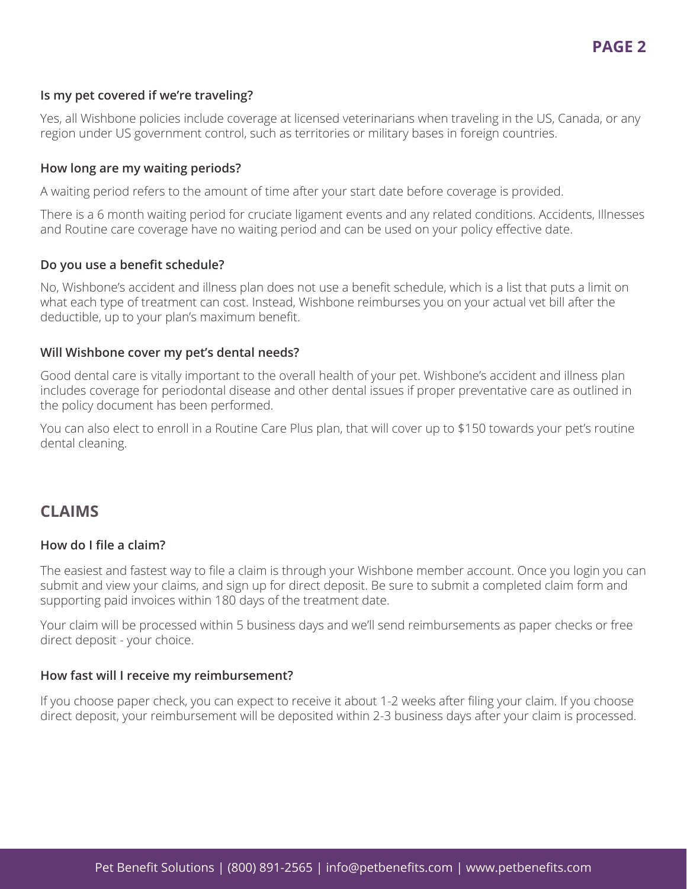### **Is my pet covered if we're traveling?**

Yes, all Wishbone policies include coverage at licensed veterinarians when traveling in the US, Canada, or any region under US government control, such as territories or military bases in foreign countries.

### **How long are my waiting periods?**

A waiting period refers to the amount of time after your start date before coverage is provided.

There is a 6 month waiting period for cruciate ligament events and any related conditions. Accidents, Illnesses and Routine care coverage have no waiting period and can be used on your policy effective date.

#### **Do you use a benefit schedule?**

No, Wishbone's accident and illness plan does not use a benefit schedule, which is a list that puts a limit on what each type of treatment can cost. Instead, Wishbone reimburses you on your actual vet bill after the deductible, up to your plan's maximum benefit.

#### **Will Wishbone cover my pet's dental needs?**

Good dental care is vitally important to the overall health of your pet. Wishbone's accident and illness plan includes coverage for periodontal disease and other dental issues if proper preventative care as outlined in the policy document has been performed.

You can also elect to enroll in a Routine Care Plus plan, that will cover up to \$150 towards your pet's routine dental cleaning.

### **CLAIMS**

### **How do I file a claim?**

The easiest and fastest way to file a claim is through your Wishbone member account. Once you login you can submit and view your claims, and sign up for direct deposit. Be sure to submit a completed claim form and supporting paid invoices within 180 days of the treatment date.

Your claim will be processed within 5 business days and we'll send reimbursements as paper checks or free direct deposit - your choice.

### **How fast will I receive my reimbursement?**

If you choose paper check, you can expect to receive it about 1-2 weeks after filing your claim. If you choose direct deposit, your reimbursement will be deposited within 2-3 business days after your claim is processed.